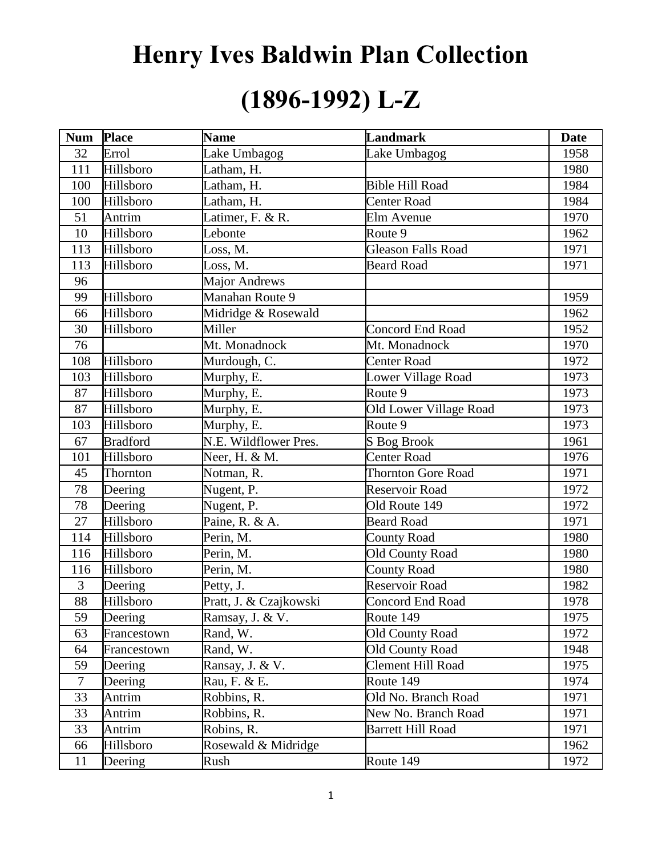# **Henry Ives Baldwin Plan Collection**

### **(1896-1992) L-Z**

| <b>Num</b>      | Place           | <b>Name</b>            | <b>Landmark</b>           | <b>Date</b> |
|-----------------|-----------------|------------------------|---------------------------|-------------|
| 32              | Errol           | Lake Umbagog           | Lake Umbagog              | 1958        |
| 111             | Hillsboro       | Latham, H.             |                           | 1980        |
| 100             | Hillsboro       | Latham, H.             | <b>Bible Hill Road</b>    | 1984        |
| 100             | Hillsboro       | Latham, H.             | <b>Center Road</b>        | 1984        |
| 51              | Antrim          | Latimer, F. & R.       | Elm Avenue                | 1970        |
| 10              | Hillsboro       | Lebonte                | Route 9                   | 1962        |
| 113             | Hillsboro       | Loss, M.               | <b>Gleason Falls Road</b> | 1971        |
| 113             | Hillsboro       | Loss, M.               | <b>Beard Road</b>         | 1971        |
| 96              |                 | <b>Major Andrews</b>   |                           |             |
| 99              | Hillsboro       | Manahan Route 9        |                           | 1959        |
| 66              | Hillsboro       | Midridge & Rosewald    |                           | 1962        |
| 30              | Hillsboro       | Miller                 | <b>Concord End Road</b>   | 1952        |
| 76              |                 | Mt. Monadnock          | Mt. Monadnock             | 1970        |
| 108             | Hillsboro       | Murdough, C.           | <b>Center Road</b>        | 1972        |
| 103             | Hillsboro       | Murphy, E.             | Lower Village Road        | 1973        |
| 87              | Hillsboro       | Murphy, E.             | Route 9                   | 1973        |
| 87              | Hillsboro       | Murphy, E.             | Old Lower Village Road    | 1973        |
| 103             | Hillsboro       | Murphy, E.             | Route 9                   | 1973        |
| 67              | <b>Bradford</b> | N.E. Wildflower Pres.  | S Bog Brook               | 1961        |
| 101             | Hillsboro       | Neer, H. & M.          | Center Road               | 1976        |
| 45              | Thornton        | Notman, R.             | <b>Thornton Gore Road</b> | 1971        |
| 78              | Deering         | Nugent, P.             | Reservoir Road            | 1972        |
| 78              | Deering         | Nugent, P.             | Old Route 149             | 1972        |
| 27              | Hillsboro       | Paine, R. & A.         | <b>Beard Road</b>         | 1971        |
| 114             | Hillsboro       | Perin, M.              | <b>County Road</b>        | 1980        |
| 116             | Hillsboro       | Perin, M.              | <b>Old County Road</b>    | 1980        |
| 116             | Hillsboro       | Perin, M.              | County Road               | 1980        |
| $\mathfrak{Z}$  | Deering         | Petty, J.              | Reservoir Road            | 1982        |
| $\overline{88}$ | Hillsboro       | Pratt, J. & Czajkowski | <b>Concord End Road</b>   | 1978        |
| 59              | Deering         | Ramsay, J. & V.        | Route 149                 | 1975        |
| 63              | Francestown     | Rand, W.               | <b>Old County Road</b>    | 1972        |
| 64              | Francestown     | Rand, W.               | <b>Old County Road</b>    | 1948        |
| 59              | Deering         | Ransay, J. & V.        | Clement Hill Road         | 1975        |
| $\tau$          | Deering         | Rau, F. & E.           | Route 149                 | 1974        |
| 33              | Antrim          | Robbins, R.            | Old No. Branch Road       | 1971        |
| 33              | Antrim          | Robbins, R.            | New No. Branch Road       | 1971        |
| 33              | Antrim          | Robins, R.             | <b>Barrett Hill Road</b>  | 1971        |
| 66              | Hillsboro       | Rosewald & Midridge    |                           | 1962        |
| 11              | Deering         | Rush                   | Route 149                 | 1972        |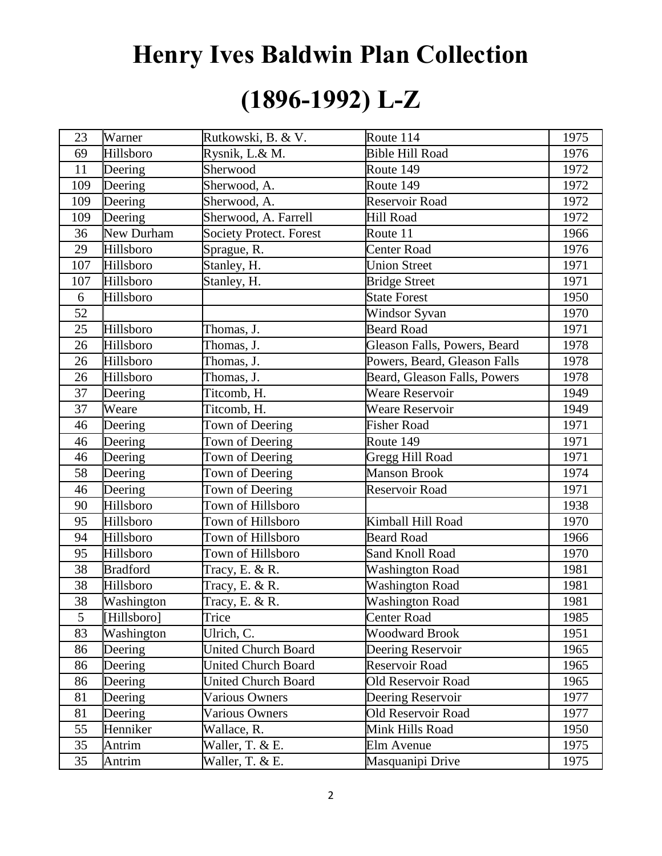## **Henry Ives Baldwin Plan Collection (1896-1992) L-Z**

| 23  | Warner          | Rutkowski, B. & V.             | Route 114                    | 1975 |
|-----|-----------------|--------------------------------|------------------------------|------|
| 69  | Hillsboro       | Rysnik, L.& M.                 | <b>Bible Hill Road</b>       | 1976 |
| 11  | Deering         | Sherwood                       | Route 149                    | 1972 |
| 109 | Deering         | Sherwood, A.                   | Route 149                    | 1972 |
| 109 | Deering         | Sherwood, A.                   | Reservoir Road               | 1972 |
| 109 | Deering         | Sherwood, A. Farrell           | <b>Hill Road</b>             | 1972 |
| 36  | New Durham      | <b>Society Protect. Forest</b> | Route 11                     | 1966 |
| 29  | Hillsboro       | Sprague, R.                    | Center Road                  | 1976 |
| 107 | Hillsboro       | Stanley, H.                    | <b>Union Street</b>          | 1971 |
| 107 | Hillsboro       | Stanley, H.                    | <b>Bridge Street</b>         | 1971 |
| 6   | Hillsboro       |                                | <b>State Forest</b>          | 1950 |
| 52  |                 |                                | Windsor Syvan                | 1970 |
| 25  | Hillsboro       | Thomas, J.                     | <b>Beard Road</b>            | 1971 |
| 26  | Hillsboro       | Thomas, J.                     | Gleason Falls, Powers, Beard | 1978 |
| 26  | Hillsboro       | Thomas, J.                     | Powers, Beard, Gleason Falls | 1978 |
| 26  | Hillsboro       | Thomas, J.                     | Beard, Gleason Falls, Powers | 1978 |
| 37  | Deering         | Titcomb, H.                    | <b>Weare Reservoir</b>       | 1949 |
| 37  | Weare           | Titcomb, H.                    | <b>Weare Reservoir</b>       | 1949 |
| 46  | Deering         | Town of Deering                | <b>Fisher Road</b>           | 1971 |
| 46  | Deering         | Town of Deering                | Route 149                    | 1971 |
| 46  | Deering         | Town of Deering                | Gregg Hill Road              | 1971 |
| 58  | Deering         | Town of Deering                | <b>Manson Brook</b>          | 1974 |
| 46  | Deering         | Town of Deering                | Reservoir Road               | 1971 |
| 90  | Hillsboro       | Town of Hillsboro              |                              | 1938 |
| 95  | Hillsboro       | Town of Hillsboro              | Kimball Hill Road            | 1970 |
| 94  | Hillsboro       | Town of Hillsboro              | <b>Beard Road</b>            | 1966 |
| 95  | Hillsboro       | Town of Hillsboro              | Sand Knoll Road              | 1970 |
| 38  | <b>Bradford</b> | Tracy, E. & R.                 | <b>Washington Road</b>       | 1981 |
| 38  | Hillsboro       | Tracy, E. & R.                 | <b>Washington Road</b>       | 1981 |
| 38  | Washington      | Tracy, E. & R.                 | Washington Road              | 1981 |
| 5   | [Hillsboro]     | Trice                          | <b>Center Road</b>           | 1985 |
| 83  | Washington      | Ulrich, C.                     | <b>Woodward Brook</b>        | 1951 |
| 86  | Deering         | <b>United Church Board</b>     | Deering Reservoir            | 1965 |
| 86  | Deering         | <b>United Church Board</b>     | Reservoir Road               | 1965 |
| 86  | Deering         | <b>United Church Board</b>     | Old Reservoir Road           | 1965 |
| 81  | Deering         | <b>Various Owners</b>          | Deering Reservoir            | 1977 |
| 81  | Deering         | <b>Various Owners</b>          | Old Reservoir Road           | 1977 |
| 55  | Henniker        | Wallace, R.                    | Mink Hills Road              | 1950 |
| 35  | Antrim          | Waller, T. & E.                | Elm Avenue                   | 1975 |
| 35  | Antrim          | Waller, T. & E.                | Masquanipi Drive             | 1975 |